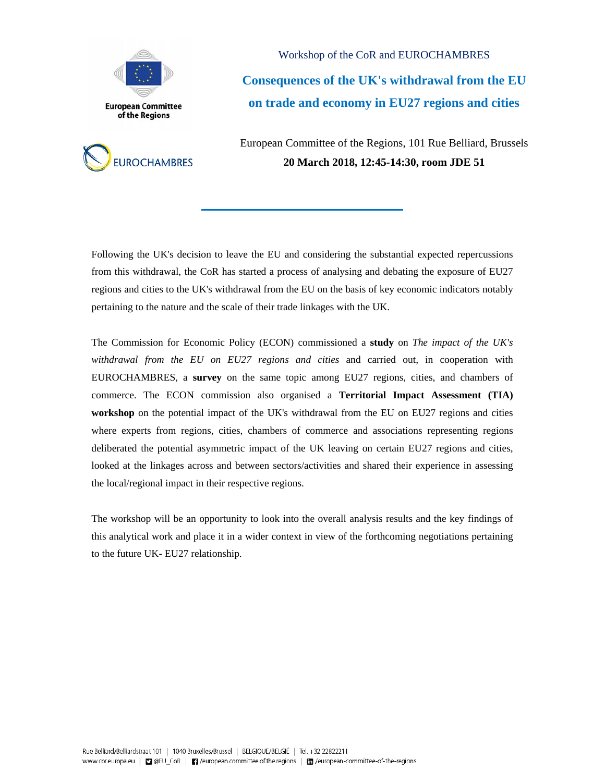



Workshop of the CoR and EUROCHAMBRES **Consequences of the UK's withdrawal from the EU on trade and economy in EU27 regions and cities** 

European Committee of the Regions, 101 Rue Belliard, Brussels **20 March 2018, 12:45-14:30, room JDE 51**

Following the UK's decision to leave the EU and considering the substantial expected repercussions from this withdrawal, the CoR has started a process of analysing and debating the exposure of EU27 regions and cities to the UK's withdrawal from the EU on the basis of key economic indicators notably pertaining to the nature and the scale of their trade linkages with the UK.

The Commission for Economic Policy (ECON) commissioned a **study** on *The impact of the UK's withdrawal from the EU on EU27 regions and cities* and carried out, in cooperation with EUROCHAMBRES, a **survey** on the same topic among EU27 regions, cities, and chambers of commerce. The ECON commission also organised a **Territorial Impact Assessment (TIA) workshop** on the potential impact of the UK's withdrawal from the EU on EU27 regions and cities where experts from regions, cities, chambers of commerce and associations representing regions deliberated the potential asymmetric impact of the UK leaving on certain EU27 regions and cities, looked at the linkages across and between sectors/activities and shared their experience in assessing the local/regional impact in their respective regions.

The workshop will be an opportunity to look into the overall analysis results and the key findings of this analytical work and place it in a wider context in view of the forthcoming negotiations pertaining to the future UK- EU27 relationship.